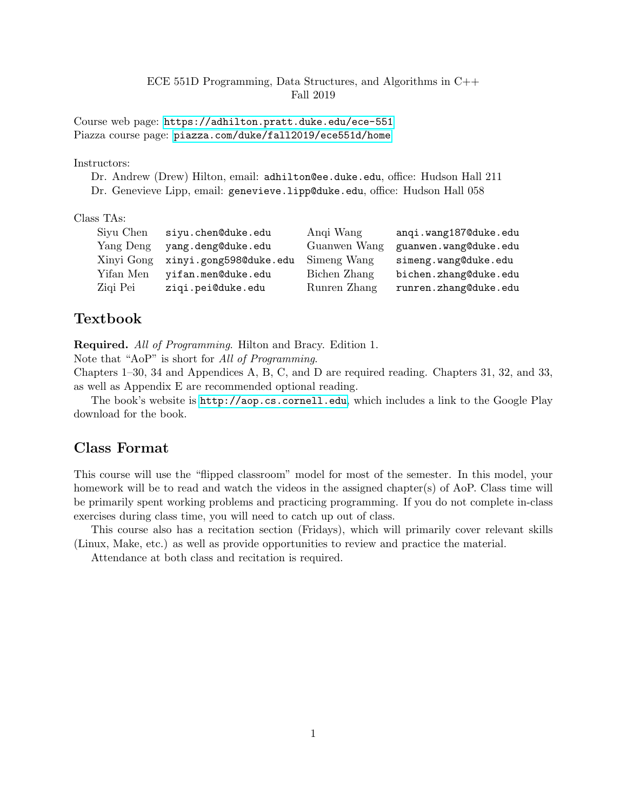## ECE 551D Programming, Data Structures, and Algorithms in C++ Fall 2019

Course web page: <https://adhilton.pratt.duke.edu/ece-551> Piazza course page: <piazza.com/duke/fall2019/ece551d/home>

#### Instructors:

Dr. Andrew (Drew) Hilton, email: adhilton@ee.duke.edu, office: Hudson Hall 211 Dr. Genevieve Lipp, email: genevieve.lipp@duke.edu, office: Hudson Hall 058

## Class TAs:

| Siyu Chen | siyu.chen@duke.edu                | Angi Wang    | angi.wang1870duke.edu |
|-----------|-----------------------------------|--------------|-----------------------|
| Yang Deng | yang.deng@duke.edu                | Guanwen Wang | guanwen.wang@duke.edu |
|           | Xinyi Gong xinyi.gong5980duke.edu | Simeng Wang  | simeng.wang@duke.edu  |
| Yifan Men | yifan.men@duke.edu                | Bichen Zhang | bichen.zhang@duke.edu |
| Ziqi Pei  | ziqi.pei@duke.edu                 | Runren Zhang | runren.zhang@duke.edu |

# Textbook

Required. All of Programming. Hilton and Bracy. Edition 1.

Note that "AoP" is short for All of Programming.

Chapters 1–30, 34 and Appendices A, B, C, and D are required reading. Chapters 31, 32, and 33, as well as Appendix E are recommended optional reading.

The book's website is <http://aop.cs.cornell.edu>, which includes a link to the Google Play download for the book.

# Class Format

This course will use the "flipped classroom" model for most of the semester. In this model, your homework will be to read and watch the videos in the assigned chapter(s) of AoP. Class time will be primarily spent working problems and practicing programming. If you do not complete in-class exercises during class time, you will need to catch up out of class.

This course also has a recitation section (Fridays), which will primarily cover relevant skills (Linux, Make, etc.) as well as provide opportunities to review and practice the material.

Attendance at both class and recitation is required.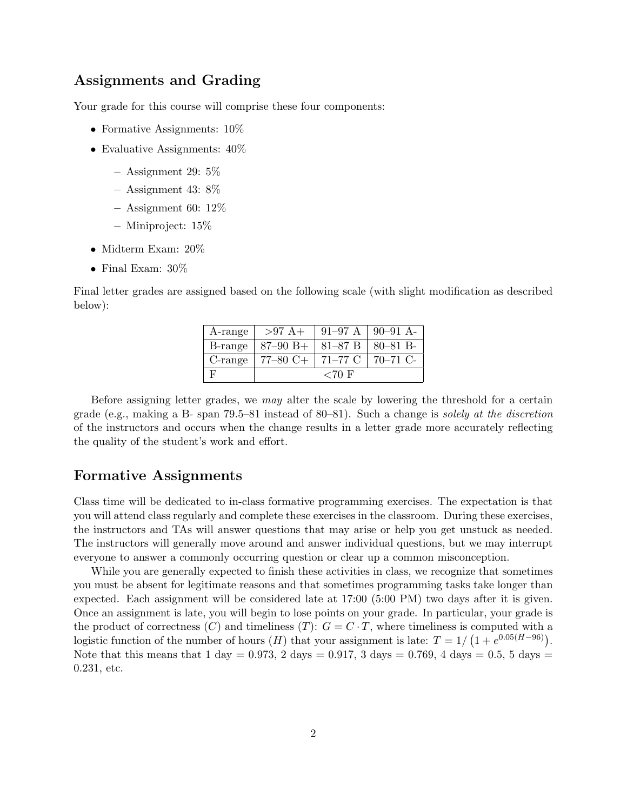# Assignments and Grading

Your grade for this course will comprise these four components:

- Formative Assignments:  $10\%$
- Evaluative Assignments:  $40\%$ 
	- $-$  Assignment 29: 5\%
	- $-$  Assignment 43: 8\%
	- $-$  Assignment 60: 12\%
	- Miniproject: 15%
- Midterm Exam: 20%
- Final Exam:  $30\%$

Final letter grades are assigned based on the following scale (with slight modification as described below):

| A-range      | $>97 A+$                            |  | $91-97$ A $90-91$ A |  |
|--------------|-------------------------------------|--|---------------------|--|
| B-range      | $  87-90 B +   81-87 B   80-81 B -$ |  |                     |  |
| $C$ -range   | 77–80 C+   71–77 C   70–71 C-       |  |                     |  |
| $\mathbf{F}$ | ${<}70$ F                           |  |                     |  |

Before assigning letter grades, we may alter the scale by lowering the threshold for a certain grade (e.g., making a B- span 79.5–81 instead of 80–81). Such a change is solely at the discretion of the instructors and occurs when the change results in a letter grade more accurately reflecting the quality of the student's work and effort.

## Formative Assignments

Class time will be dedicated to in-class formative programming exercises. The expectation is that you will attend class regularly and complete these exercises in the classroom. During these exercises, the instructors and TAs will answer questions that may arise or help you get unstuck as needed. The instructors will generally move around and answer individual questions, but we may interrupt everyone to answer a commonly occurring question or clear up a common misconception.

While you are generally expected to finish these activities in class, we recognize that sometimes you must be absent for legitimate reasons and that sometimes programming tasks take longer than expected. Each assignment will be considered late at 17:00 (5:00 PM) two days after it is given. Once an assignment is late, you will begin to lose points on your grade. In particular, your grade is the product of correctness  $(C)$  and timeliness  $(T)$ :  $G = C \cdot T$ , where timeliness is computed with a logistic function of the number of hours  $(H)$  that your assignment is late:  $T = 1/(1 + e^{0.05(H-96)})$ . Note that this means that 1 day = 0.973, 2 days = 0.917, 3 days = 0.769, 4 days = 0.5, 5 days = 0.231, etc.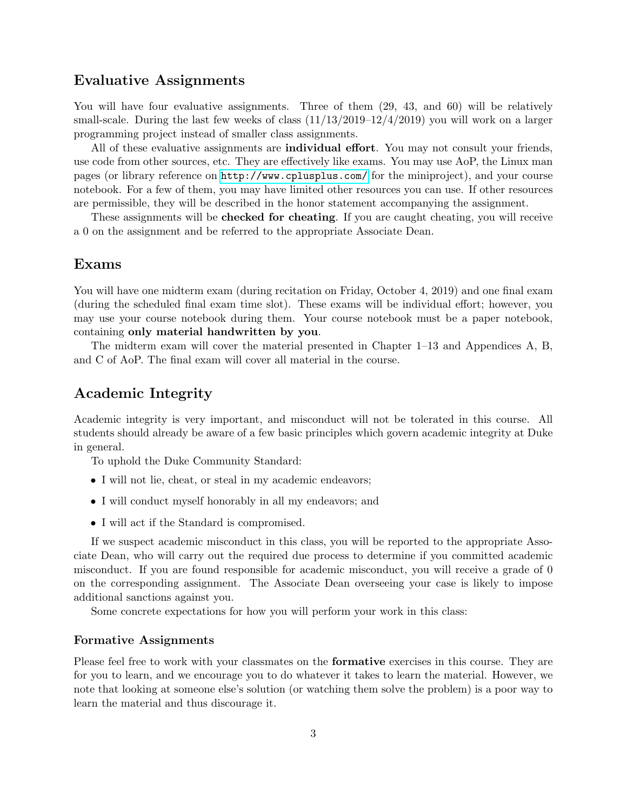# Evaluative Assignments

You will have four evaluative assignments. Three of them  $(29, 43, \text{ and } 60)$  will be relatively small-scale. During the last few weeks of class  $(11/13/2019-12/4/2019)$  you will work on a larger programming project instead of smaller class assignments.

All of these evaluative assignments are **individual effort**. You may not consult your friends, use code from other sources, etc. They are effectively like exams. You may use AoP, the Linux man pages (or library reference on <http://www.cplusplus.com/> for the miniproject), and your course notebook. For a few of them, you may have limited other resources you can use. If other resources are permissible, they will be described in the honor statement accompanying the assignment.

These assignments will be **checked for cheating**. If you are caught cheating, you will receive a 0 on the assignment and be referred to the appropriate Associate Dean.

## Exams

You will have one midterm exam (during recitation on Friday, October 4, 2019) and one final exam (during the scheduled final exam time slot). These exams will be individual effort; however, you may use your course notebook during them. Your course notebook must be a paper notebook, containing only material handwritten by you.

The midterm exam will cover the material presented in Chapter 1–13 and Appendices A, B, and C of AoP. The final exam will cover all material in the course.

# Academic Integrity

Academic integrity is very important, and misconduct will not be tolerated in this course. All students should already be aware of a few basic principles which govern academic integrity at Duke in general.

To uphold the Duke Community Standard:

- I will not lie, cheat, or steal in my academic endeavors;
- I will conduct myself honorably in all my endeavors; and
- I will act if the Standard is compromised.

If we suspect academic misconduct in this class, you will be reported to the appropriate Associate Dean, who will carry out the required due process to determine if you committed academic misconduct. If you are found responsible for academic misconduct, you will receive a grade of 0 on the corresponding assignment. The Associate Dean overseeing your case is likely to impose additional sanctions against you.

Some concrete expectations for how you will perform your work in this class:

#### Formative Assignments

Please feel free to work with your classmates on the formative exercises in this course. They are for you to learn, and we encourage you to do whatever it takes to learn the material. However, we note that looking at someone else's solution (or watching them solve the problem) is a poor way to learn the material and thus discourage it.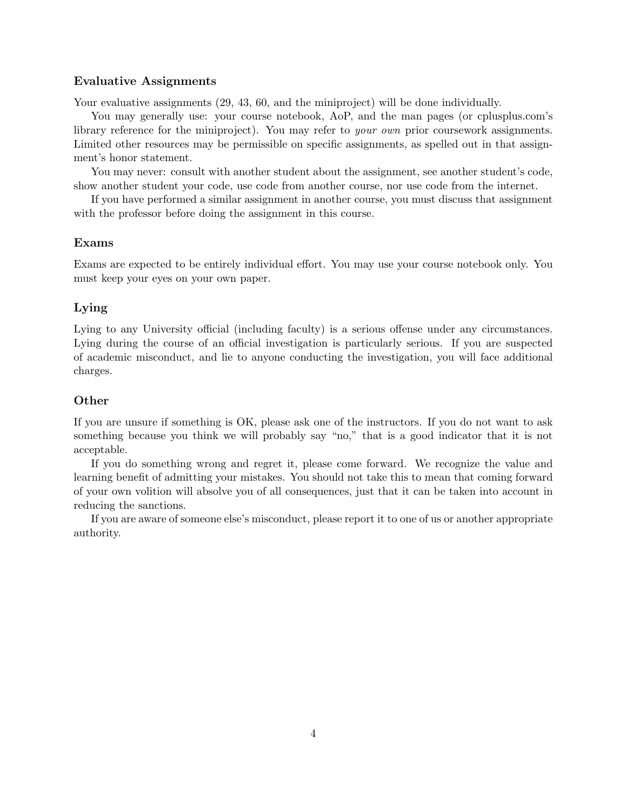### Evaluative Assignments

Your evaluative assignments  $(29, 43, 60, 40)$  and the miniproject will be done individually.

You may generally use: your course notebook, AoP, and the man pages (or cplusplus.com's library reference for the miniproject). You may refer to your own prior coursework assignments. Limited other resources may be permissible on specific assignments, as spelled out in that assignment's honor statement.

You may never: consult with another student about the assignment, see another student's code, show another student your code, use code from another course, nor use code from the internet.

If you have performed a similar assignment in another course, you must discuss that assignment with the professor before doing the assignment in this course.

## Exams

Exams are expected to be entirely individual effort. You may use your course notebook only. You must keep your eyes on your own paper.

## Lying

Lying to any University official (including faculty) is a serious offense under any circumstances. Lying during the course of an official investigation is particularly serious. If you are suspected of academic misconduct, and lie to anyone conducting the investigation, you will face additional charges.

## **Other**

If you are unsure if something is OK, please ask one of the instructors. If you do not want to ask something because you think we will probably say "no," that is a good indicator that it is not acceptable.

If you do something wrong and regret it, please come forward. We recognize the value and learning benefit of admitting your mistakes. You should not take this to mean that coming forward of your own volition will absolve you of all consequences, just that it can be taken into account in reducing the sanctions.

If you are aware of someone else's misconduct, please report it to one of us or another appropriate authority.